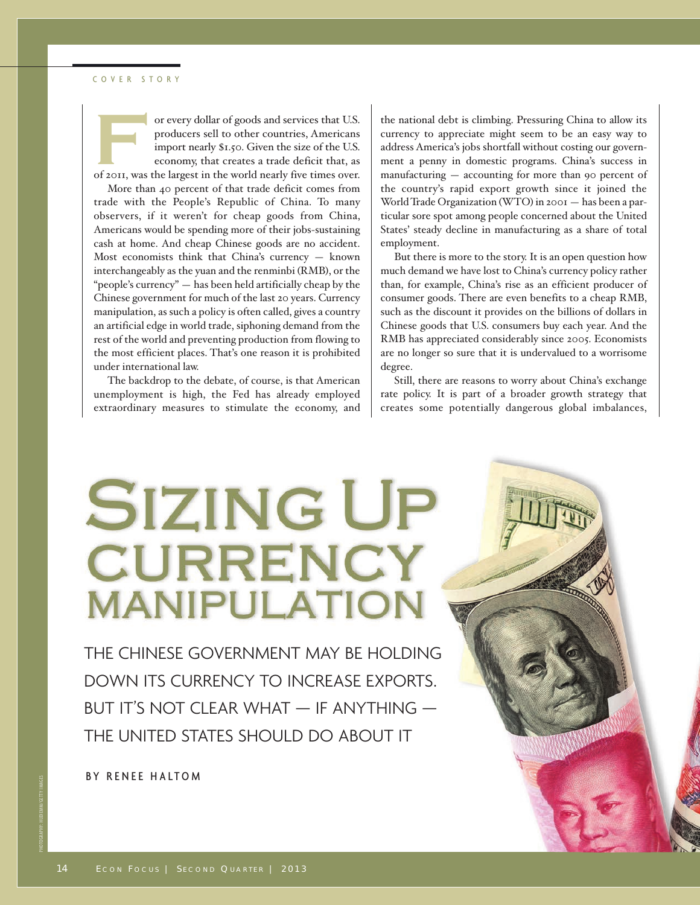#### COVER STORY



or every dollar of goods and services that U.S.<br>
producers sell to other countries, Americans<br>
import nearly \$1,50. Given the size of the U.S.<br>
economy, that creates a trade deficit that, as<br>
of 2011, was the largest in th producers sell to other countries, Americans import nearly \$1.50. Given the size of the U.S. economy, that creates a trade deficit that, as

More than 40 percent of that trade deficit comes from trade with the People's Republic of China. To many observers, if it weren't for cheap goods from China, Americans would be spending more of their jobs-sustaining cash at home. And cheap Chinese goods are no accident. Most economists think that China's currency — known interchangeably as the yuan and the renminbi (RMB), or the "people's currency" — has been held artificially cheap by the Chinese government for much of the last 20 years. Currency manipulation, as such a policy is often called, gives a country an artificial edge in world trade, siphoning demand from the rest of the world and preventing production from flowing to the most efficient places. That's one reason it is prohibited under international law.

The backdrop to the debate, of course, is that American unemployment is high, the Fed has already employed extraordinary measures to stimulate the economy, and

the national debt is climbing. Pressuring China to allow its currency to appreciate might seem to be an easy way to address America's jobs shortfall without costing our government a penny in domestic programs. China's success in manufacturing — accounting for more than 90 percent of the country's rapid export growth since it joined the World Trade Organization (WTO) in 2001 — has been a particular sore spot among people concerned about the United States' steady decline in manufacturing as a share of total employment.

But there is more to the story. It is an open question how much demand we have lost to China's currency policy rather than, for example, China's rise as an efficient producer of consumer goods. There are even benefits to a cheap RMB, such as the discount it provides on the billions of dollars in Chinese goods that U.S. consumers buy each year. And the RMB has appreciated considerably since 2005. Economists are no longer so sure that it is undervalued to a worrisome degree.

Still, there are reasons to worry about China's exchange rate policy. It is part of a broader growth strategy that creates some potentially dangerous global imbalances,

# **SIZING UP CURRENCY MANIPULATION**

THE CHINESE GOVERNMENT MAY BE HOLDING DOWN ITS CURRENCY TO INCREASE EXPORTS. BUT IT'S NOT CLEAR WHAT  $-$  IF ANYTHING  $-$ THE UNITED STATES SHOULD DO ABOUT IT

BY RENEE HALTOM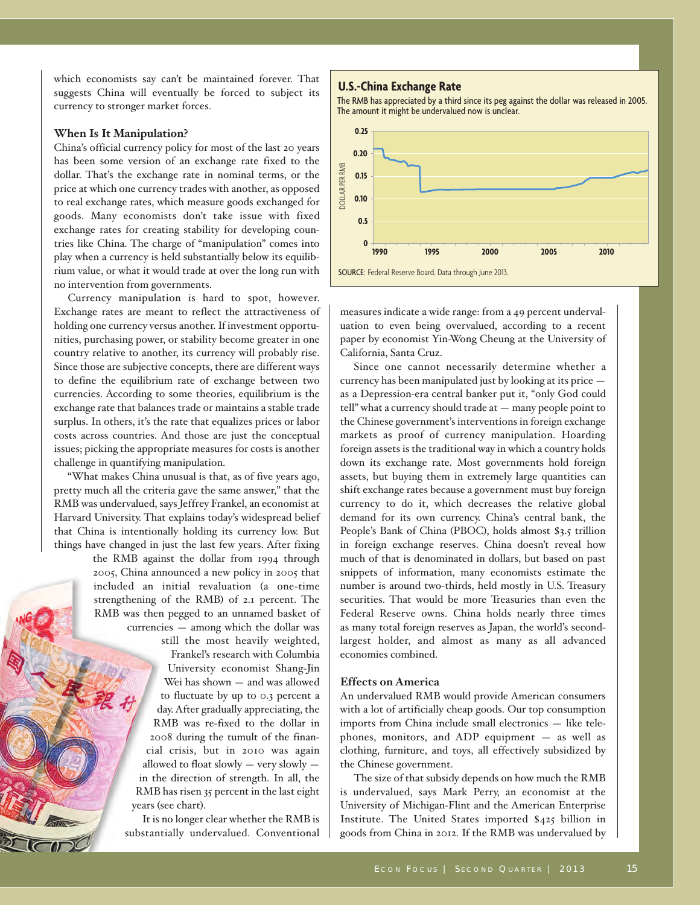which economists say can't be maintained forever. That suggests China will eventually be forced to subject its currency to stronger market forces.

## **When Is It Manipulation?**

China's official currency policy for most of the last 20 years has been some version of an exchange rate fixed to the dollar. That's the exchange rate in nominal terms, or the price at which one currency trades with another, as opposed to real exchange rates, which measure goods exchanged for goods. Many economists don't take issue with fixed exchange rates for creating stability for developing countries like China. The charge of "manipulation" comes into play when a currency is held substantially below its equilibrium value, or what it would trade at over the long run with no intervention from governments.

Currency manipulation is hard to spot, however. Exchange rates are meant to reflect the attractiveness of holding one currency versus another. If investment opportunities, purchasing power, or stability become greater in one country relative to another, its currency will probably rise. Since those are subjective concepts, there are different ways to define the equilibrium rate of exchange between two currencies. According to some theories, equilibrium is the exchange rate that balances trade or maintains a stable trade surplus. In others, it's the rate that equalizes prices or labor costs across countries. And those are just the conceptual issues; picking the appropriate measures for costs is another challenge in quantifying manipulation.

"What makes China unusual is that, as of five years ago, pretty much all the criteria gave the same answer," that the RMB was undervalued, says Jeffrey Frankel, an economist at Harvard University. That explains today's widespread belief that China is intentionally holding its currency low. But things have changed in just the last few years. After fixing

the RMB against the dollar from 1994 through 2005, China announced a new policy in 2005 that included an initial revaluation (a one-time strengthening of the RMB) of 2.1 percent. The RMB was then pegged to an unnamed basket of currencies — among which the dollar was still the most heavily weighted, Frankel's research with Columbia University economist Shang-Jin Wei has shown — and was allowed

to fluctuate by up to 0.3 percent a day. After gradually appreciating, the RMB was re-fixed to the dollar in 2008 during the tumult of the financial crisis, but in 2010 was again allowed to float slowly — very slowly in the direction of strength. In all, the RMB has risen 35 percent in the last eight years (see chart).

It is no longer clear whether the RMB is substantially undervalued. Conventional

#### **U.S.-China Exchange Rate**

The RMB has appreciated by a third since its peg against the dollar was released in 2005. The amount it might be undervalued now is unclear.



measures indicate a wide range: from a 49 percent undervaluation to even being overvalued, according to a recent paper by economist Yin-Wong Cheung at the University of California, Santa Cruz.

Since one cannot necessarily determine whether a currency has been manipulated just by looking at its price as a Depression-era central banker put it, "only God could tell" what a currency should trade at — many people point to the Chinese government's interventions in foreign exchange markets as proof of currency manipulation. Hoarding foreign assets is the traditional way in which a country holds down its exchange rate. Most governments hold foreign assets, but buying them in extremely large quantities can shift exchange rates because a government must buy foreign currency to do it, which decreases the relative global demand for its own currency. China's central bank, the People's Bank of China (PBOC), holds almost \$3.5 trillion in foreign exchange reserves. China doesn't reveal how much of that is denominated in dollars, but based on past snippets of information, many economists estimate the number is around two-thirds, held mostly in U.S. Treasury securities. That would be more Treasuries than even the Federal Reserve owns. China holds nearly three times as many total foreign reserves as Japan, the world's secondlargest holder, and almost as many as all advanced economies combined.

## **Effects on America**

An undervalued RMB would provide American consumers with a lot of artificially cheap goods. Our top consumption imports from China include small electronics — like telephones, monitors, and ADP equipment — as well as clothing, furniture, and toys, all effectively subsidized by the Chinese government.

The size of that subsidy depends on how much the RMB is undervalued, says Mark Perry, an economist at the University of Michigan-Flint and the American Enterprise Institute. The United States imported \$425 billion in goods from China in 2012. If the RMB was undervalued by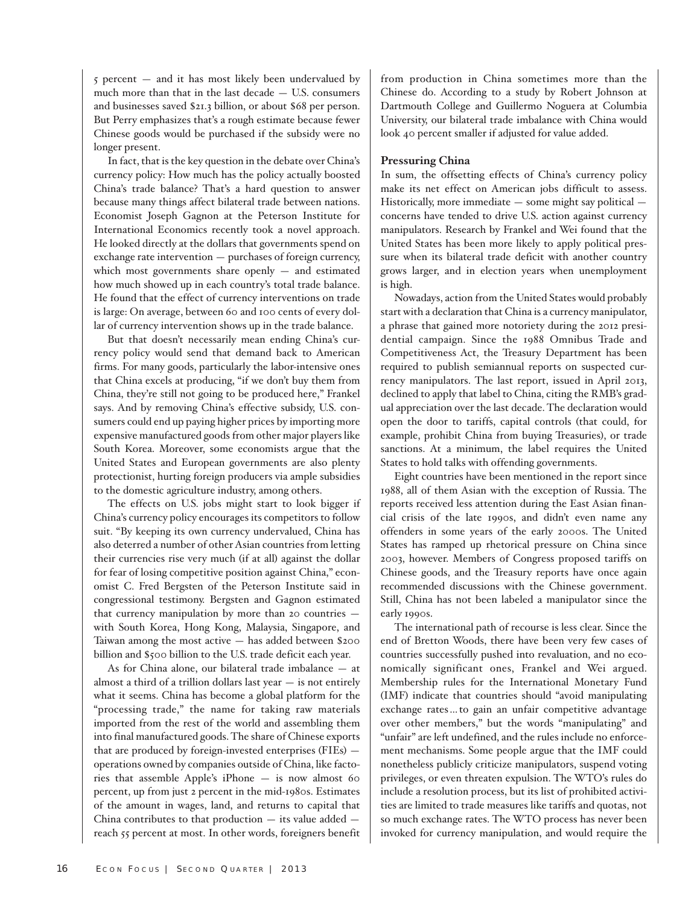5 percent — and it has most likely been undervalued by much more than that in the last decade — U.S. consumers and businesses saved \$21.3 billion, or about \$68 per person. But Perry emphasizes that's a rough estimate because fewer Chinese goods would be purchased if the subsidy were no longer present.

In fact, that is the key question in the debate over China's currency policy: How much has the policy actually boosted China's trade balance? That's a hard question to answer because many things affect bilateral trade between nations. Economist Joseph Gagnon at the Peterson Institute for International Economics recently took a novel approach. He looked directly at the dollars that governments spend on exchange rate intervention — purchases of foreign currency, which most governments share openly  $-$  and estimated how much showed up in each country's total trade balance. He found that the effect of currency interventions on trade is large: On average, between 60 and 100 cents of every dollar of currency intervention shows up in the trade balance.

But that doesn't necessarily mean ending China's currency policy would send that demand back to American firms. For many goods, particularly the labor-intensive ones that China excels at producing, "if we don't buy them from China, they're still not going to be produced here," Frankel says. And by removing China's effective subsidy, U.S. consumers could end up paying higher prices by importing more expensive manufactured goods from other major players like South Korea. Moreover, some economists argue that the United States and European governments are also plenty protectionist, hurting foreign producers via ample subsidies to the domestic agriculture industry, among others.

The effects on U.S. jobs might start to look bigger if China's currency policy encourages its competitors to follow suit. "By keeping its own currency undervalued, China has also deterred a number of other Asian countries from letting their currencies rise very much (if at all) against the dollar for fear of losing competitive position against China," economist C. Fred Bergsten of the Peterson Institute said in congressional testimony. Bergsten and Gagnon estimated that currency manipulation by more than 20 countries with South Korea, Hong Kong, Malaysia, Singapore, and Taiwan among the most active — has added between \$200 billion and \$500 billion to the U.S. trade deficit each year.

As for China alone, our bilateral trade imbalance — at almost a third of a trillion dollars last year  $-$  is not entirely what it seems. China has become a global platform for the "processing trade," the name for taking raw materials imported from the rest of the world and assembling them into final manufactured goods. The share of Chinese exports that are produced by foreign-invested enterprises (FIEs) operations owned by companies outside of China, like factories that assemble Apple's iPhone — is now almost 60 percent, up from just 2 percent in the mid-1980s. Estimates of the amount in wages, land, and returns to capital that China contributes to that production — its value added reach 55 percent at most. In other words, foreigners benefit from production in China sometimes more than the Chinese do. According to a study by Robert Johnson at Dartmouth College and Guillermo Noguera at Columbia University, our bilateral trade imbalance with China would look 40 percent smaller if adjusted for value added.

## **Pressuring China**

In sum, the offsetting effects of China's currency policy make its net effect on American jobs difficult to assess. Historically, more immediate — some might say political concerns have tended to drive U.S. action against currency manipulators. Research by Frankel and Wei found that the United States has been more likely to apply political pressure when its bilateral trade deficit with another country grows larger, and in election years when unemployment is high.

Nowadays, action from the United States would probably start with a declaration that China is a currency manipulator, a phrase that gained more notoriety during the 2012 presidential campaign. Since the 1988 Omnibus Trade and Competitiveness Act, the Treasury Department has been required to publish semiannual reports on suspected currency manipulators. The last report, issued in April 2013, declined to apply that label to China, citing the RMB's gradual appreciation over the last decade. The declaration would open the door to tariffs, capital controls (that could, for example, prohibit China from buying Treasuries), or trade sanctions. At a minimum, the label requires the United States to hold talks with offending governments.

Eight countries have been mentioned in the report since 1988, all of them Asian with the exception of Russia. The reports received less attention during the East Asian financial crisis of the late 1990s, and didn't even name any offenders in some years of the early 2000s. The United States has ramped up rhetorical pressure on China since 2003, however. Members of Congress proposed tariffs on Chinese goods, and the Treasury reports have once again recommended discussions with the Chinese government. Still, China has not been labeled a manipulator since the early 1990s.

The international path of recourse is less clear. Since the end of Bretton Woods, there have been very few cases of countries successfully pushed into revaluation, and no economically significant ones, Frankel and Wei argued. Membership rules for the International Monetary Fund (IMF) indicate that countries should "avoid manipulating exchange rates … to gain an unfair competitive advantage over other members," but the words "manipulating" and "unfair" are left undefined, and the rules include no enforcement mechanisms. Some people argue that the IMF could nonetheless publicly criticize manipulators, suspend voting privileges, or even threaten expulsion. The WTO's rules do include a resolution process, but its list of prohibited activities are limited to trade measures like tariffs and quotas, not so much exchange rates. The WTO process has never been invoked for currency manipulation, and would require the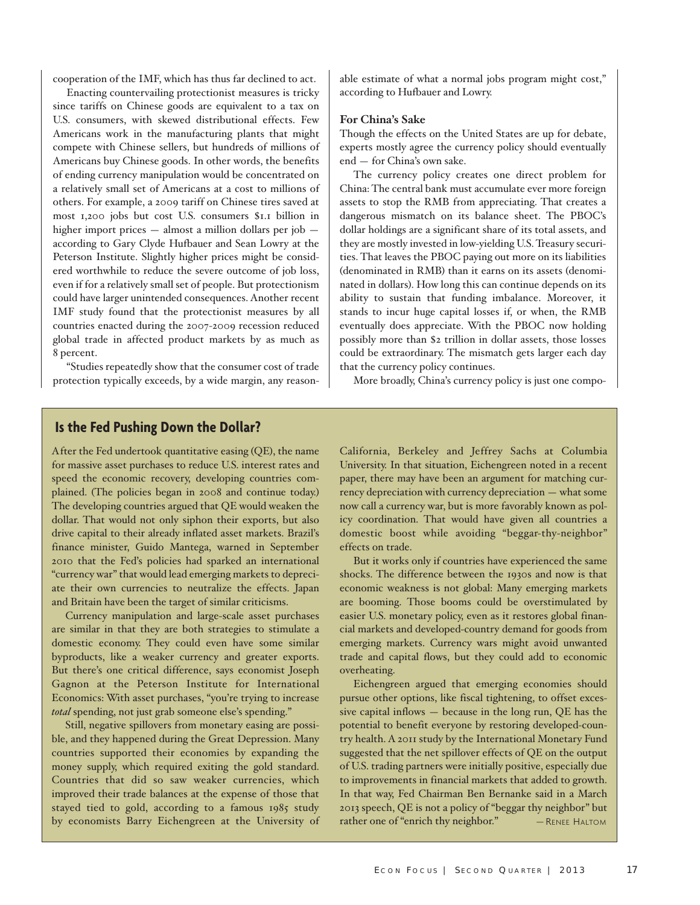cooperation of the IMF, which has thus far declined to act.

Enacting countervailing protectionist measures is tricky since tariffs on Chinese goods are equivalent to a tax on U.S. consumers, with skewed distributional effects. Few Americans work in the manufacturing plants that might compete with Chinese sellers, but hundreds of millions of Americans buy Chinese goods. In other words, the benefits of ending currency manipulation would be concentrated on a relatively small set of Americans at a cost to millions of others. For example, a 2009 tariff on Chinese tires saved at most 1,200 jobs but cost U.S. consumers \$1.1 billion in higher import prices — almost a million dollars per job according to Gary Clyde Hufbauer and Sean Lowry at the Peterson Institute. Slightly higher prices might be considered worthwhile to reduce the severe outcome of job loss, even if for a relatively small set of people. But protectionism could have larger unintended consequences. Another recent IMF study found that the protectionist measures by all countries enacted during the 2007-2009 recession reduced global trade in affected product markets by as much as 8 percent.

"Studies repeatedly show that the consumer cost of trade protection typically exceeds, by a wide margin, any reasonable estimate of what a normal jobs program might cost," according to Hufbauer and Lowry.

#### **For China's Sake**

Though the effects on the United States are up for debate, experts mostly agree the currency policy should eventually end — for China's own sake.

The currency policy creates one direct problem for China: The central bank must accumulate ever more foreign assets to stop the RMB from appreciating. That creates a dangerous mismatch on its balance sheet. The PBOC's dollar holdings are a significant share of its total assets, and they are mostly invested in low-yielding U.S. Treasury securities. That leaves the PBOC paying out more on its liabilities (denominated in RMB) than it earns on its assets (denominated in dollars). How long this can continue depends on its ability to sustain that funding imbalance. Moreover, it stands to incur huge capital losses if, or when, the RMB eventually does appreciate. With the PBOC now holding possibly more than \$2 trillion in dollar assets, those losses could be extraordinary. The mismatch gets larger each day that the currency policy continues.

More broadly, China's currency policy is just one compo-

# **Is the Fed Pushing Down the Dollar?**

After the Fed undertook quantitative easing (QE), the name for massive asset purchases to reduce U.S. interest rates and speed the economic recovery, developing countries complained. (The policies began in 2008 and continue today.) The developing countries argued that QE would weaken the dollar. That would not only siphon their exports, but also drive capital to their already inflated asset markets. Brazil's finance minister, Guido Mantega, warned in September 2010 that the Fed's policies had sparked an international "currency war" that would lead emerging markets to depreciate their own currencies to neutralize the effects. Japan and Britain have been the target of similar criticisms.

Currency manipulation and large-scale asset purchases are similar in that they are both strategies to stimulate a domestic economy. They could even have some similar byproducts, like a weaker currency and greater exports. But there's one critical difference, says economist Joseph Gagnon at the Peterson Institute for International Economics: With asset purchases, "you're trying to increase *total* spending, not just grab someone else's spending."

Still, negative spillovers from monetary easing are possible, and they happened during the Great Depression. Many countries supported their economies by expanding the money supply, which required exiting the gold standard. Countries that did so saw weaker currencies, which improved their trade balances at the expense of those that stayed tied to gold, according to a famous 1985 study by economists Barry Eichengreen at the University of California, Berkeley and Jeffrey Sachs at Columbia University. In that situation, Eichengreen noted in a recent paper, there may have been an argument for matching currency depreciation with currency depreciation — what some now call a currency war, but is more favorably known as policy coordination. That would have given all countries a domestic boost while avoiding "beggar-thy-neighbor" effects on trade.

But it works only if countries have experienced the same shocks. The difference between the 1930s and now is that economic weakness is not global: Many emerging markets are booming. Those booms could be overstimulated by easier U.S. monetary policy, even as it restores global financial markets and developed-country demand for goods from emerging markets. Currency wars might avoid unwanted trade and capital flows, but they could add to economic overheating.

Eichengreen argued that emerging economies should pursue other options, like fiscal tightening, to offset excessive capital inflows — because in the long run, QE has the potential to benefit everyone by restoring developed-country health. A 2011 study by the International Monetary Fund suggested that the net spillover effects of QE on the output of U.S. trading partners were initially positive, especially due to improvements in financial markets that added to growth. In that way, Fed Chairman Ben Bernanke said in a March 2013 speech, QE is not a policy of "beggar thy neighbor" but rather one of "enrich thy neighbor." — RENEE HALTOM